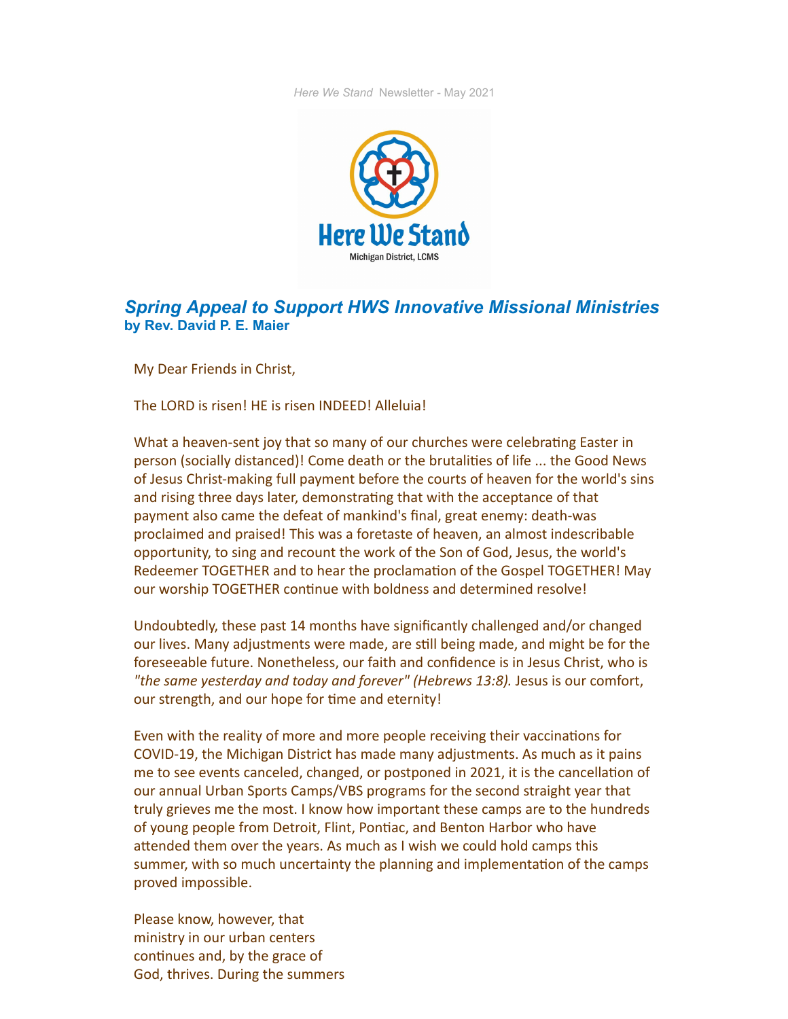*Here We Stand* Newsletter - May 2021



## *Spring Appeal to Support HWS Innovative Missional Ministries* **by Rev. David P. E. Maier**

My Dear Friends in Christ,

The LORD is risen! HE is risen INDEED! Alleluia!

What a heaven-sent joy that so many of our churches were celebrating Easter in person (socially distanced)! Come death or the brutalities of life ... the Good News of Jesus Christ-making full payment before the courts of heaven for the world's sins and rising three days later, demonstrating that with the acceptance of that payment also came the defeat of mankind's final, great enemy: death-was proclaimed and praised! This was a foretaste of heaven, an almost indescribable opportunity, to sing and recount the work of the Son of God, Jesus, the world's Redeemer TOGETHER and to hear the proclamation of the Gospel TOGETHER! May our worship TOGETHER continue with boldness and determined resolve!

Undoubtedly, these past 14 months have significantly challenged and/or changed our lives. Many adjustments were made, are still being made, and might be for the foreseeable future. Nonetheless, our faith and confidence is in Jesus Christ, who is *"the same yesterday and today and forever" (Hebrews 13:8).* Jesus is our comfort, our strength, and our hope for time and eternity!

Even with the reality of more and more people receiving their vaccinations for COVID-19, the Michigan District has made many adjustments. As much as it pains me to see events canceled, changed, or postponed in 2021, it is the cancellation of our annual Urban Sports Camps/VBS programs for the second straight year that truly grieves me the most. I know how important these camps are to the hundreds of young people from Detroit, Flint, Pontiac, and Benton Harbor who have attended them over the years. As much as I wish we could hold camps this summer, with so much uncertainty the planning and implementation of the camps proved impossible.

Please know, however, that ministry in our urban centers continues and, by the grace of God, thrives. During the summers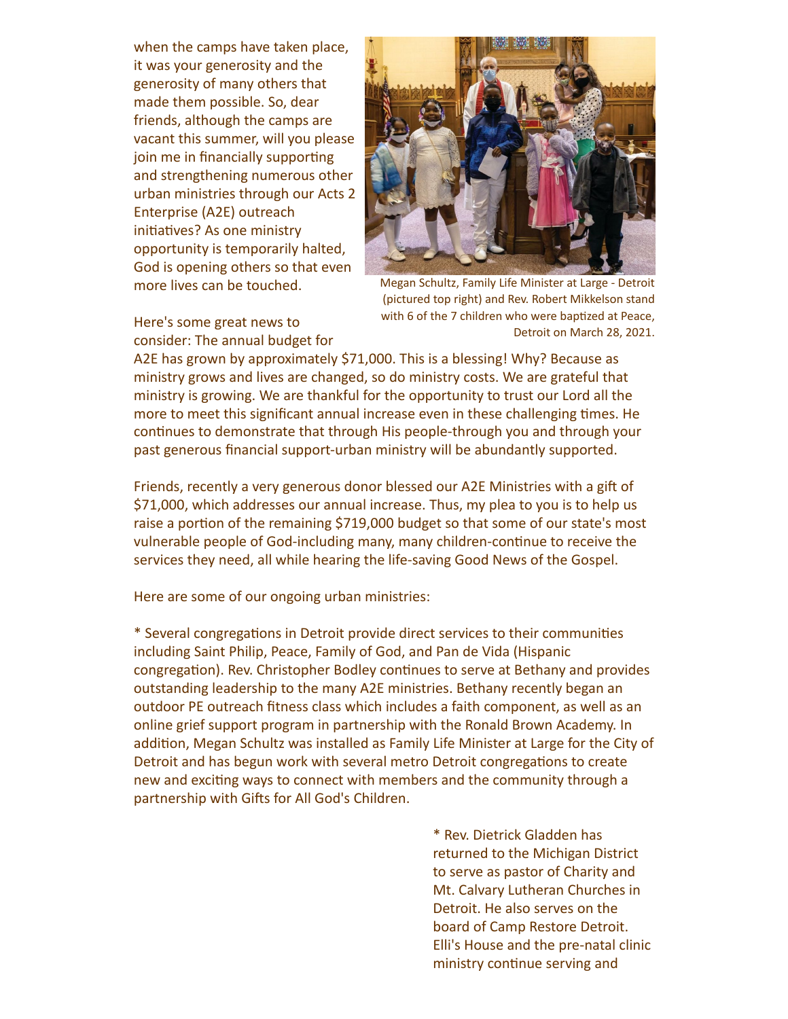when the camps have taken place, it was your generosity and the generosity of many others that made them possible. So, dear friends, although the camps are vacant this summer, will you please join me in financially supporting and strengthening numerous other urban ministries through our Acts 2 Enterprise (A2E) outreach initiatives? As one ministry opportunity is temporarily halted, God is opening others so that even more lives can be touched.

Here's some great news to consider: The annual budget for



Megan Schultz, Family Life Minister at Large - Detroit (pictured top right) and Rev. Robert Mikkelson stand with 6 of the 7 children who were baptized at Peace, Detroit on March 28, 2021.

A2E has grown by approximately \$71,000. This is a blessing! Why? Because as ministry grows and lives are changed, so do ministry costs. We are grateful that ministry is growing. We are thankful for the opportunity to trust our Lord all the more to meet this significant annual increase even in these challenging times. He continues to demonstrate that through His people-through you and through your past generous financial support-urban ministry will be abundantly supported.

Friends, recently a very generous donor blessed our A2E Ministries with a gift of \$71,000, which addresses our annual increase. Thus, my plea to you is to help us raise a portion of the remaining \$719,000 budget so that some of our state's most vulnerable people of God-including many, many children-continue to receive the services they need, all while hearing the life-saving Good News of the Gospel.

Here are some of our ongoing urban ministries:

\* Several congregations in Detroit provide direct services to their communities including Saint Philip, Peace, Family of God, and Pan de Vida (Hispanic congregation). Rev. Christopher Bodley continues to serve at Bethany and provides outstanding leadership to the many A2E ministries. Bethany recently began an outdoor PE outreach fitness class which includes a faith component, as well as an online grief support program in partnership with the Ronald Brown Academy. In addition, Megan Schultz was installed as Family Life Minister at Large for the City of Detroit and has begun work with several metro Detroit congregations to create new and exciting ways to connect with members and the community through a partnership with Gifts for All God's Children.

> \* Rev. Dietrick Gladden has returned to the Michigan District to serve as pastor of Charity and Mt. Calvary Lutheran Churches in Detroit. He also serves on the board of Camp Restore Detroit. Elli's House and the pre-natal clinic ministry continue serving and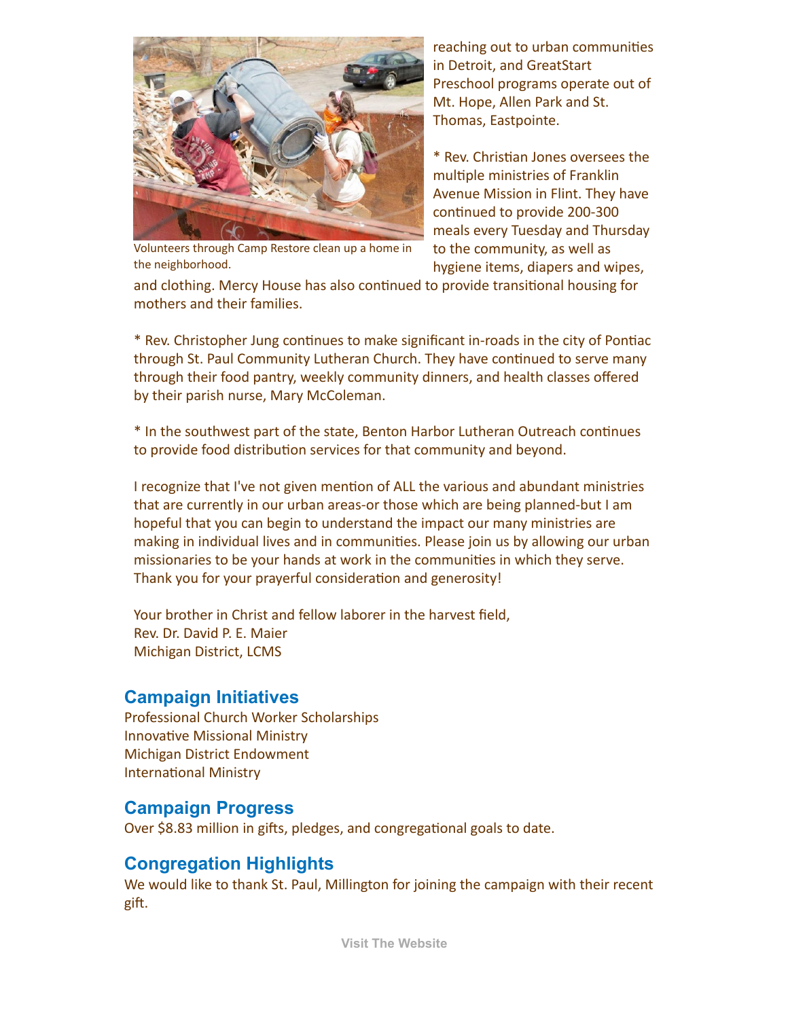

Volunteers through Camp Restore clean up a home in the neighborhood.

reaching out to urban communities in Detroit, and GreatStart Preschool programs operate out of Mt. Hope, Allen Park and St. Thomas, Eastpointe.

\* Rev. Christian Jones oversees the multiple ministries of Franklin Avenue Mission in Flint. They have continued to provide 200-300 meals every Tuesday and Thursday to the community, as well as hygiene items, diapers and wipes,

and clothing. Mercy House has also continued to provide transitional housing for mothers and their families.

\* Rev. Christopher Jung continues to make significant in-roads in the city of Pontiac through St. Paul Community Lutheran Church. They have continued to serve many through their food pantry, weekly community dinners, and health classes offered by their parish nurse, Mary McColeman.

\* In the southwest part of the state, Benton Harbor Lutheran Outreach continues to provide food distribution services for that community and beyond.

I recognize that I've not given mention of ALL the various and abundant ministries that are currently in our urban areas-or those which are being planned-but I am hopeful that you can begin to understand the impact our many ministries are making in individual lives and in communities. Please join us by allowing our urban missionaries to be your hands at work in the communities in which they serve. Thank you for your prayerful consideration and generosity!

Your brother in Christ and fellow laborer in the harvest field, Rev. Dr. David P. E. Maier Michigan District, LCMS

#### **Campaign Initiatives**

Professional Church Worker Scholarships Innovative Missional Ministry Michigan District Endowment International Ministry

### **Campaign Progress**

Over \$8.83 million in gifts, pledges, and congregational goals to date.

### **Congregation Highlights**

We would like to thank St. Paul, Millington for joining the campaign with their recent gift.